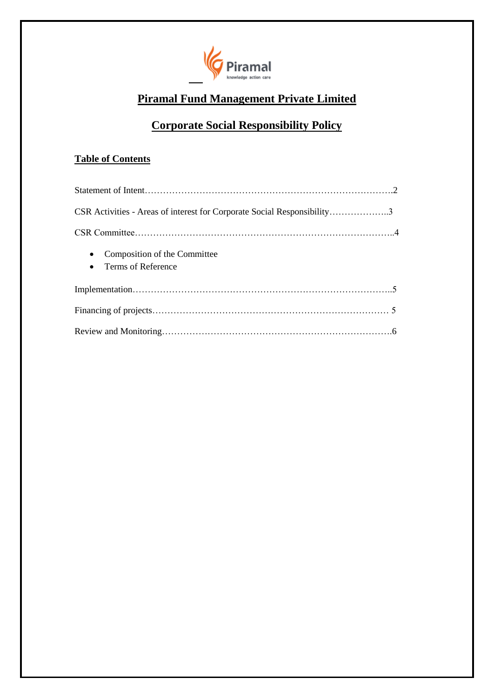

# **Piramal Fund Management Private Limited**

# **Corporate Social Responsibility Policy**

## **Table of Contents**

| CSR Activities - Areas of interest for Corporate Social Responsibility3      |  |
|------------------------------------------------------------------------------|--|
|                                                                              |  |
| Composition of the Committee<br>$\bullet$<br>Terms of Reference<br>$\bullet$ |  |
|                                                                              |  |
|                                                                              |  |
|                                                                              |  |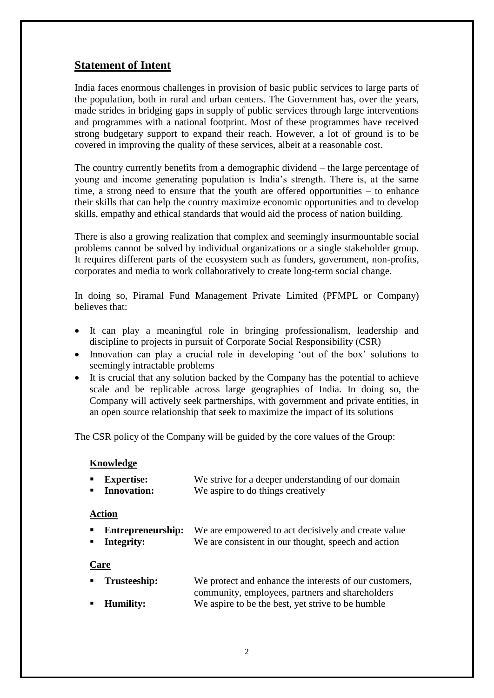### **Statement of Intent**

India faces enormous challenges in provision of basic public services to large parts of the population, both in rural and urban centers. The Government has, over the years, made strides in bridging gaps in supply of public services through large interventions and programmes with a national footprint. Most of these programmes have received strong budgetary support to expand their reach. However, a lot of ground is to be covered in improving the quality of these services, albeit at a reasonable cost.

The country currently benefits from a demographic dividend – the large percentage of young and income generating population is India's strength. There is, at the same time, a strong need to ensure that the youth are offered opportunities – to enhance their skills that can help the country maximize economic opportunities and to develop skills, empathy and ethical standards that would aid the process of nation building.

There is also a growing realization that complex and seemingly insurmountable social problems cannot be solved by individual organizations or a single stakeholder group. It requires different parts of the ecosystem such as funders, government, non-profits, corporates and media to work collaboratively to create long-term social change.

In doing so, Piramal Fund Management Private Limited (PFMPL or Company) believes that:

- It can play a meaningful role in bringing professionalism, leadership and discipline to projects in pursuit of Corporate Social Responsibility (CSR)
- Innovation can play a crucial role in developing 'out of the box' solutions to seemingly intractable problems
- It is crucial that any solution backed by the Company has the potential to achieve scale and be replicable across large geographies of India. In doing so, the Company will actively seek partnerships, with government and private entities, in an open source relationship that seek to maximize the impact of its solutions

The CSR policy of the Company will be guided by the core values of the Group:

#### **Knowledge**

| <b>Expertise:</b> | We strive for a deeper understanding of our domain |
|-------------------|----------------------------------------------------|
| • Innovation:     | We aspire to do things creatively                  |

#### **Action**

|            | <b>Entrepreneurship:</b> We are empowered to act decisively and create value |
|------------|------------------------------------------------------------------------------|
| Integrity: | We are consistent in our thought, speech and action                          |

#### **Care**

| ■ Trusteeship:     | We protect and enhance the interests of our customers, |
|--------------------|--------------------------------------------------------|
|                    | community, employees, partners and shareholders        |
| <b>E</b> Humility: | We aspire to be the best, yet strive to be humble      |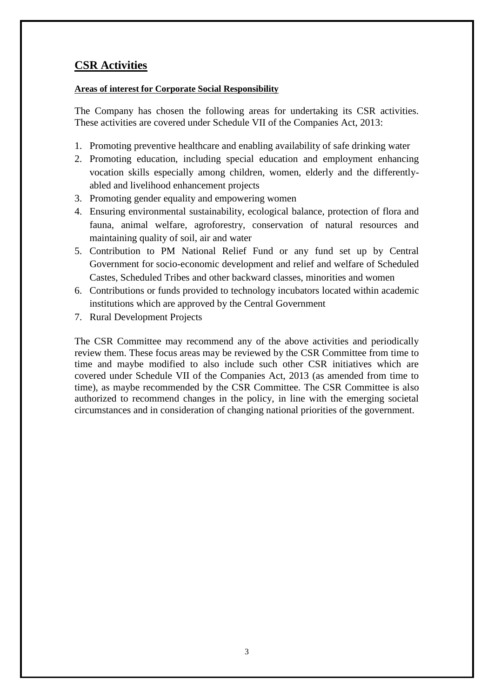# **CSR Activities**

#### **Areas of interest for Corporate Social Responsibility**

The Company has chosen the following areas for undertaking its CSR activities. These activities are covered under Schedule VII of the Companies Act, 2013:

- 1. Promoting preventive healthcare and enabling availability of safe drinking water
- 2. Promoting education, including special education and employment enhancing vocation skills especially among children, women, elderly and the differentlyabled and livelihood enhancement projects
- 3. Promoting gender equality and empowering women
- 4. Ensuring environmental sustainability, ecological balance, protection of flora and fauna, animal welfare, agroforestry, conservation of natural resources and maintaining quality of soil, air and water
- 5. Contribution to PM National Relief Fund or any fund set up by Central Government for socio-economic development and relief and welfare of Scheduled Castes, Scheduled Tribes and other backward classes, minorities and women
- 6. Contributions or funds provided to technology incubators located within academic institutions which are approved by the Central Government
- 7. Rural Development Projects

The CSR Committee may recommend any of the above activities and periodically review them. These focus areas may be reviewed by the CSR Committee from time to time and maybe modified to also include such other CSR initiatives which are covered under Schedule VII of the Companies Act, 2013 (as amended from time to time), as maybe recommended by the CSR Committee. The CSR Committee is also authorized to recommend changes in the policy, in line with the emerging societal circumstances and in consideration of changing national priorities of the government.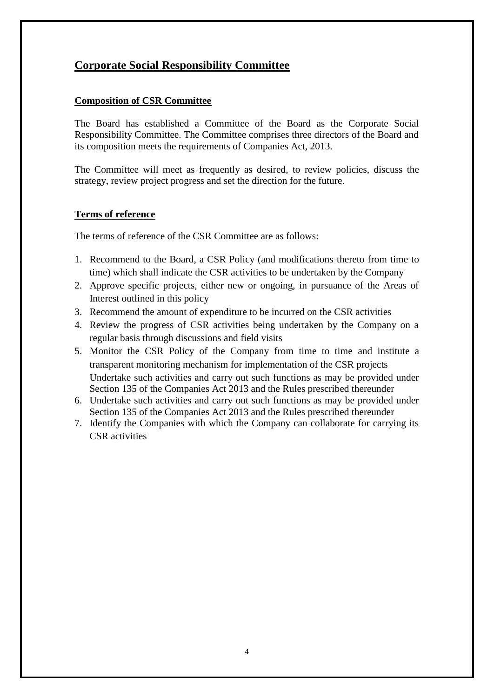# **Corporate Social Responsibility Committee**

#### **Composition of CSR Committee**

The Board has established a Committee of the Board as the Corporate Social Responsibility Committee. The Committee comprises three directors of the Board and its composition meets the requirements of Companies Act, 2013.

The Committee will meet as frequently as desired, to review policies, discuss the strategy, review project progress and set the direction for the future.

#### **Terms of reference**

The terms of reference of the CSR Committee are as follows:

- 1. Recommend to the Board, a CSR Policy (and modifications thereto from time to time) which shall indicate the CSR activities to be undertaken by the Company
- 2. Approve specific projects, either new or ongoing, in pursuance of the Areas of Interest outlined in this policy
- 3. Recommend the amount of expenditure to be incurred on the CSR activities
- 4. Review the progress of CSR activities being undertaken by the Company on a regular basis through discussions and field visits
- 5. Monitor the CSR Policy of the Company from time to time and institute a transparent monitoring mechanism for implementation of the CSR projects Undertake such activities and carry out such functions as may be provided under Section 135 of the Companies Act 2013 and the Rules prescribed thereunder
- 6. Undertake such activities and carry out such functions as may be provided under Section 135 of the Companies Act 2013 and the Rules prescribed thereunder
- 7. Identify the Companies with which the Company can collaborate for carrying its CSR activities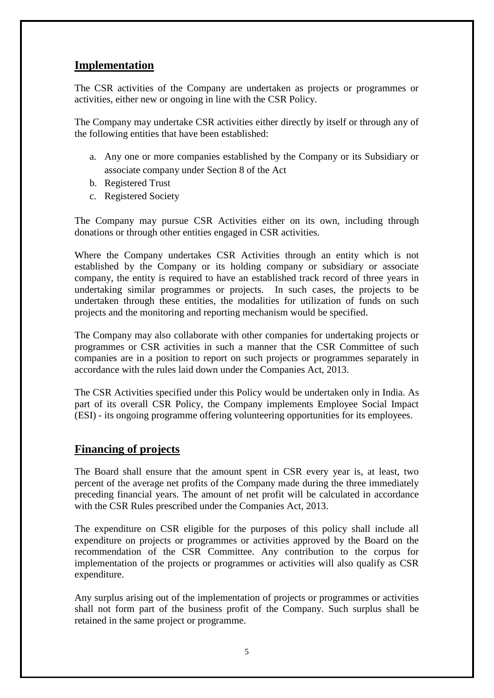### **Implementation**

The CSR activities of the Company are undertaken as projects or programmes or activities, either new or ongoing in line with the CSR Policy.

The Company may undertake CSR activities either directly by itself or through any of the following entities that have been established:

- a. Any one or more companies established by the Company or its Subsidiary or associate company under Section 8 of the Act
- b. Registered Trust
- c. Registered Society

The Company may pursue CSR Activities either on its own, including through donations or through other entities engaged in CSR activities.

Where the Company undertakes CSR Activities through an entity which is not established by the Company or its holding company or subsidiary or associate company, the entity is required to have an established track record of three years in undertaking similar programmes or projects. In such cases, the projects to be undertaken through these entities, the modalities for utilization of funds on such projects and the monitoring and reporting mechanism would be specified.

The Company may also collaborate with other companies for undertaking projects or programmes or CSR activities in such a manner that the CSR Committee of such companies are in a position to report on such projects or programmes separately in accordance with the rules laid down under the Companies Act, 2013.

The CSR Activities specified under this Policy would be undertaken only in India. As part of its overall CSR Policy, the Company implements Employee Social Impact (ESI) - its ongoing programme offering volunteering opportunities for its employees.

## **Financing of projects**

The Board shall ensure that the amount spent in CSR every year is, at least, two percent of the average net profits of the Company made during the three immediately preceding financial years. The amount of net profit will be calculated in accordance with the CSR Rules prescribed under the Companies Act, 2013.

The expenditure on CSR eligible for the purposes of this policy shall include all expenditure on projects or programmes or activities approved by the Board on the recommendation of the CSR Committee. Any contribution to the corpus for implementation of the projects or programmes or activities will also qualify as CSR expenditure.

Any surplus arising out of the implementation of projects or programmes or activities shall not form part of the business profit of the Company. Such surplus shall be retained in the same project or programme.